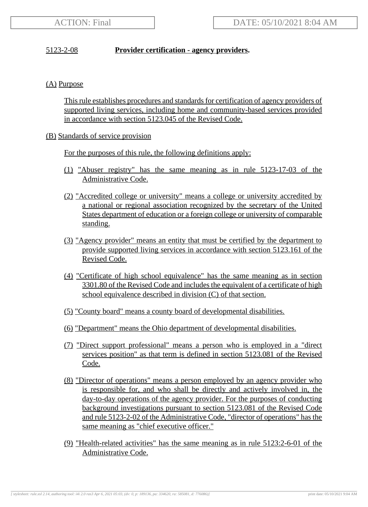## 5123-2-08 **Provider certification - agency providers.**

## (A) Purpose

This rule establishes procedures and standards for certification of agency providers of supported living services, including home and community-based services provided in accordance with section 5123.045 of the Revised Code.

## (B) Standards of service provision

For the purposes of this rule, the following definitions apply:

- (1) "Abuser registry" has the same meaning as in rule 5123-17-03 of the Administrative Code.
- (2) "Accredited college or university" means a college or university accredited by a national or regional association recognized by the secretary of the United States department of education or a foreign college or university of comparable standing.
- (3) "Agency provider" means an entity that must be certified by the department to provide supported living services in accordance with section 5123.161 of the Revised Code.
- (4) "Certificate of high school equivalence" has the same meaning as in section 3301.80 of the Revised Code and includes the equivalent of a certificate of high school equivalence described in division (C) of that section.
- (5) "County board" means a county board of developmental disabilities.
- (6) "Department" means the Ohio department of developmental disabilities.
- (7) "Direct support professional" means a person who is employed in a "direct services position" as that term is defined in section 5123.081 of the Revised Code.
- (8) "Director of operations" means a person employed by an agency provider who is responsible for, and who shall be directly and actively involved in, the day-to-day operations of the agency provider. For the purposes of conducting background investigations pursuant to section 5123.081 of the Revised Code and rule 5123-2-02 of the Administrative Code, "director of operations" has the same meaning as "chief executive officer."
- (9) "Health-related activities" has the same meaning as in rule 5123:2-6-01 of the Administrative Code.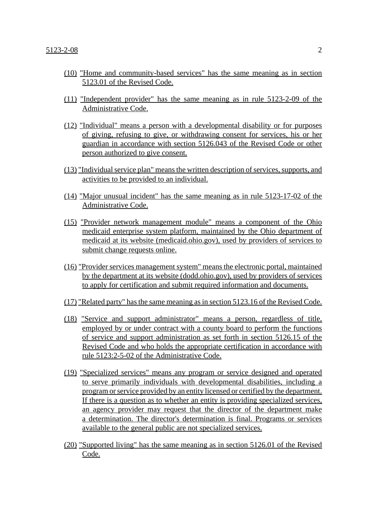- (10) "Home and community-based services" has the same meaning as in section 5123.01 of the Revised Code.
- (11) "Independent provider" has the same meaning as in rule 5123-2-09 of the Administrative Code.
- (12) "Individual" means a person with a developmental disability or for purposes of giving, refusing to give, or withdrawing consent for services, his or her guardian in accordance with section 5126.043 of the Revised Code or other person authorized to give consent.
- (13) "Individual service plan" means the written description of services, supports, and activities to be provided to an individual.
- (14) "Major unusual incident" has the same meaning as in rule 5123-17-02 of the Administrative Code.
- (15) "Provider network management module" means a component of the Ohio medicaid enterprise system platform, maintained by the Ohio department of medicaid at its website (medicaid.ohio.gov), used by providers of services to submit change requests online.
- (16) "Provider services management system" means the electronic portal, maintained by the department at its website (dodd.ohio.gov), used by providers of services to apply for certification and submit required information and documents.
- (17) "Related party" has the same meaning as in section 5123.16 of the Revised Code.
- (18) "Service and support administrator" means a person, regardless of title, employed by or under contract with a county board to perform the functions of service and support administration as set forth in section 5126.15 of the Revised Code and who holds the appropriate certification in accordance with rule 5123:2-5-02 of the Administrative Code.
- (19) "Specialized services" means any program or service designed and operated to serve primarily individuals with developmental disabilities, including a program or service provided by an entity licensed or certified by the department. If there is a question as to whether an entity is providing specialized services, an agency provider may request that the director of the department make a determination. The director's determination is final. Programs or services available to the general public are not specialized services.
- (20) "Supported living" has the same meaning as in section 5126.01 of the Revised Code.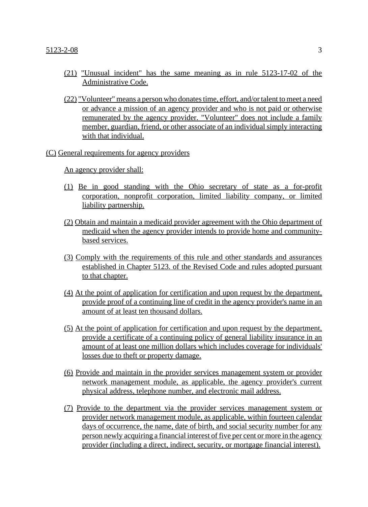- (21) "Unusual incident" has the same meaning as in rule 5123-17-02 of the Administrative Code.
- (22) "Volunteer" means a person who donates time, effort, and/or talent to meet a need or advance a mission of an agency provider and who is not paid or otherwise remunerated by the agency provider. "Volunteer" does not include a family member, guardian, friend, or other associate of an individual simply interacting with that individual.

#### (C) General requirements for agency providers

An agency provider shall:

- (1) Be in good standing with the Ohio secretary of state as a for-profit corporation, nonprofit corporation, limited liability company, or limited liability partnership.
- (2) Obtain and maintain a medicaid provider agreement with the Ohio department of medicaid when the agency provider intends to provide home and communitybased services.
- (3) Comply with the requirements of this rule and other standards and assurances established in Chapter 5123. of the Revised Code and rules adopted pursuant to that chapter.
- (4) At the point of application for certification and upon request by the department, provide proof of a continuing line of credit in the agency provider's name in an amount of at least ten thousand dollars.
- (5) At the point of application for certification and upon request by the department, provide a certificate of a continuing policy of general liability insurance in an amount of at least one million dollars which includes coverage for individuals' losses due to theft or property damage.
- (6) Provide and maintain in the provider services management system or provider network management module, as applicable, the agency provider's current physical address, telephone number, and electronic mail address.
- (7) Provide to the department via the provider services management system or provider network management module, as applicable, within fourteen calendar days of occurrence, the name, date of birth, and social security number for any person newly acquiring a financial interest of five per cent or more in the agency provider (including a direct, indirect, security, or mortgage financial interest).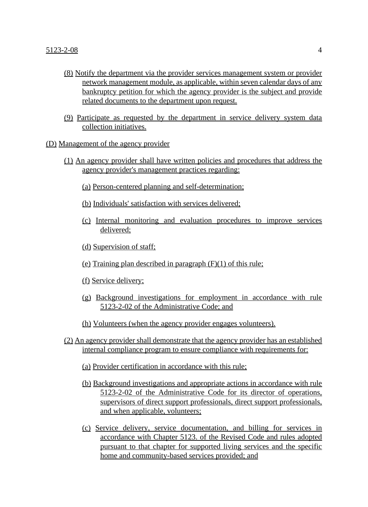- (8) Notify the department via the provider services management system or provider network management module, as applicable, within seven calendar days of any bankruptcy petition for which the agency provider is the subject and provide related documents to the department upon request.
- (9) Participate as requested by the department in service delivery system data collection initiatives.
- (D) Management of the agency provider
	- (1) An agency provider shall have written policies and procedures that address the agency provider's management practices regarding:
		- (a) Person-centered planning and self-determination;
		- (b) Individuals' satisfaction with services delivered;
		- (c) Internal monitoring and evaluation procedures to improve services delivered;
		- (d) Supervision of staff;
		- (e) Training plan described in paragraph (F)(1) of this rule;
		- (f) Service delivery;
		- (g) Background investigations for employment in accordance with rule 5123-2-02 of the Administrative Code; and
		- (h) Volunteers (when the agency provider engages volunteers).
	- (2) An agency provider shall demonstrate that the agency provider has an established internal compliance program to ensure compliance with requirements for:
		- (a) Provider certification in accordance with this rule;
		- (b) Background investigations and appropriate actions in accordance with rule 5123-2-02 of the Administrative Code for its director of operations, supervisors of direct support professionals, direct support professionals, and when applicable, volunteers;
		- (c) Service delivery, service documentation, and billing for services in accordance with Chapter 5123. of the Revised Code and rules adopted pursuant to that chapter for supported living services and the specific home and community-based services provided; and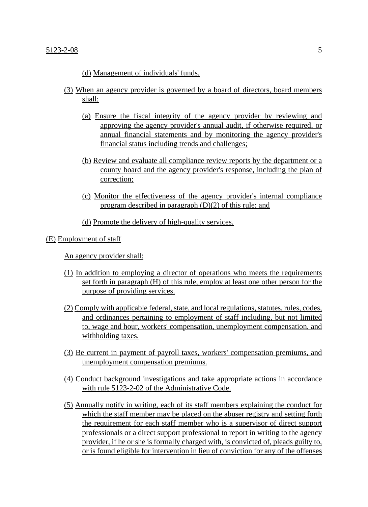(d) Management of individuals' funds.

- (3) When an agency provider is governed by a board of directors, board members shall:
	- (a) Ensure the fiscal integrity of the agency provider by reviewing and approving the agency provider's annual audit, if otherwise required, or annual financial statements and by monitoring the agency provider's financial status including trends and challenges;
	- (b) Review and evaluate all compliance review reports by the department or a county board and the agency provider's response, including the plan of correction;
	- (c) Monitor the effectiveness of the agency provider's internal compliance program described in paragraph (D)(2) of this rule; and

(d) Promote the delivery of high-quality services.

#### (E) Employment of staff

An agency provider shall:

- (1) In addition to employing a director of operations who meets the requirements set forth in paragraph (H) of this rule, employ at least one other person for the purpose of providing services.
- (2) Comply with applicable federal, state, and local regulations, statutes, rules, codes, and ordinances pertaining to employment of staff including, but not limited to, wage and hour, workers' compensation, unemployment compensation, and withholding taxes.
- (3) Be current in payment of payroll taxes, workers' compensation premiums, and unemployment compensation premiums.
- (4) Conduct background investigations and take appropriate actions in accordance with rule 5123-2-02 of the Administrative Code.
- (5) Annually notify in writing, each of its staff members explaining the conduct for which the staff member may be placed on the abuser registry and setting forth the requirement for each staff member who is a supervisor of direct support professionals or a direct support professional to report in writing to the agency provider, if he or she is formally charged with, is convicted of, pleads guilty to, or is found eligible for intervention in lieu of conviction for any of the offenses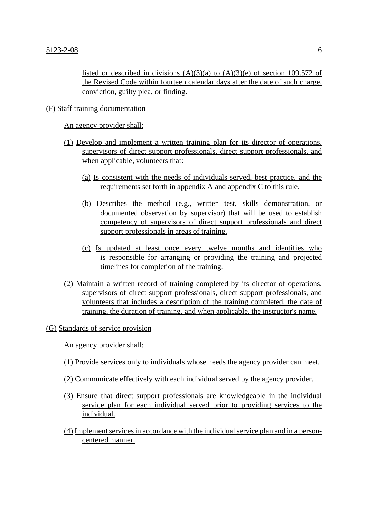listed or described in divisions  $(A)(3)(a)$  to  $(A)(3)(e)$  of section 109.572 of the Revised Code within fourteen calendar days after the date of such charge, conviction, guilty plea, or finding.

#### (F) Staff training documentation

An agency provider shall:

- (1) Develop and implement a written training plan for its director of operations, supervisors of direct support professionals, direct support professionals, and when applicable, volunteers that:
	- (a) Is consistent with the needs of individuals served, best practice, and the requirements set forth in appendix A and appendix C to this rule.
	- (b) Describes the method (e.g., written test, skills demonstration, or documented observation by supervisor) that will be used to establish competency of supervisors of direct support professionals and direct support professionals in areas of training.
	- (c) Is updated at least once every twelve months and identifies who is responsible for arranging or providing the training and projected timelines for completion of the training.
- (2) Maintain a written record of training completed by its director of operations, supervisors of direct support professionals, direct support professionals, and volunteers that includes a description of the training completed, the date of training, the duration of training, and when applicable, the instructor's name.

#### (G) Standards of service provision

An agency provider shall:

- (1) Provide services only to individuals whose needs the agency provider can meet.
- (2) Communicate effectively with each individual served by the agency provider.
- (3) Ensure that direct support professionals are knowledgeable in the individual service plan for each individual served prior to providing services to the individual.
- (4) Implement services in accordance with the individual service plan and in a personcentered manner.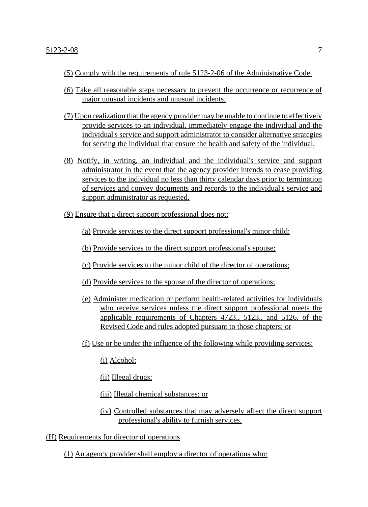- (5) Comply with the requirements of rule 5123-2-06 of the Administrative Code.
- (6) Take all reasonable steps necessary to prevent the occurrence or recurrence of major unusual incidents and unusual incidents.
- (7) Upon realization that the agency provider may be unable to continue to effectively provide services to an individual, immediately engage the individual and the individual's service and support administrator to consider alternative strategies for serving the individual that ensure the health and safety of the individual.
- (8) Notify, in writing, an individual and the individual's service and support administrator in the event that the agency provider intends to cease providing services to the individual no less than thirty calendar days prior to termination of services and convey documents and records to the individual's service and support administrator as requested.
- (9) Ensure that a direct support professional does not:
	- (a) Provide services to the direct support professional's minor child;
	- (b) Provide services to the direct support professional's spouse;
	- (c) Provide services to the minor child of the director of operations;
	- (d) Provide services to the spouse of the director of operations;
	- (e) Administer medication or perform health-related activities for individuals who receive services unless the direct support professional meets the applicable requirements of Chapters 4723., 5123., and 5126. of the Revised Code and rules adopted pursuant to those chapters; or
	- (f) Use or be under the influence of the following while providing services:

(i) Alcohol;

(ii) Illegal drugs;

- (iii) Illegal chemical substances; or
- (iv) Controlled substances that may adversely affect the direct support professional's ability to furnish services.
- (H) Requirements for director of operations
	- (1) An agency provider shall employ a director of operations who: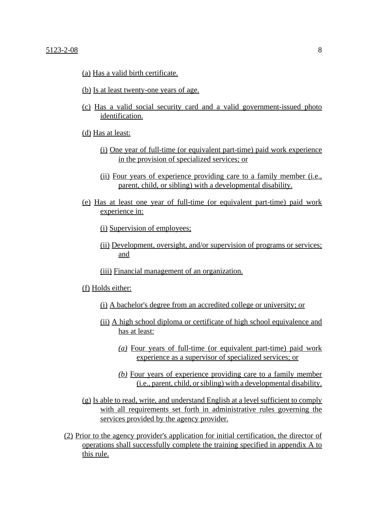- (a) Has a valid birth certificate.
- (b) Is at least twenty-one years of age.
- (c) Has a valid social security card and a valid government-issued photo identification.
- (d) Has at least:
	- (i) One year of full-time (or equivalent part-time) paid work experience in the provision of specialized services; or
	- (ii) Four years of experience providing care to a family member (i.e., parent, child, or sibling) with a developmental disability.
- (e) Has at least one year of full-time (or equivalent part-time) paid work experience in:

(i) Supervision of employees;

- (ii) Development, oversight, and/or supervision of programs or services; and
- (iii) Financial management of an organization.

(f) Holds either:

- (i) A bachelor's degree from an accredited college or university; or
- (ii) A high school diploma or certificate of high school equivalence and has at least:
	- *(a)* Four years of full-time (or equivalent part-time) paid work experience as a supervisor of specialized services; or
	- *(b)* Four years of experience providing care to a family member (i.e., parent, child, or sibling) with a developmental disability.
- (g) Is able to read, write, and understand English at a level sufficient to comply with all requirements set forth in administrative rules governing the services provided by the agency provider.
- (2) Prior to the agency provider's application for initial certification, the director of operations shall successfully complete the training specified in appendix A to this rule.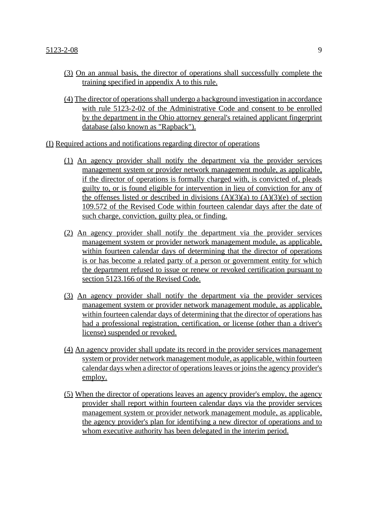- (3) On an annual basis, the director of operations shall successfully complete the training specified in appendix A to this rule.
- (4) The director of operations shall undergo a background investigation in accordance with rule 5123-2-02 of the Administrative Code and consent to be enrolled by the department in the Ohio attorney general's retained applicant fingerprint database (also known as "Rapback").

(I) Required actions and notifications regarding director of operations

- (1) An agency provider shall notify the department via the provider services management system or provider network management module, as applicable, if the director of operations is formally charged with, is convicted of, pleads guilty to, or is found eligible for intervention in lieu of conviction for any of the offenses listed or described in divisions  $(A)(3)(a)$  to  $(A)(3)(e)$  of section 109.572 of the Revised Code within fourteen calendar days after the date of such charge, conviction, guilty plea, or finding.
- (2) An agency provider shall notify the department via the provider services management system or provider network management module, as applicable, within fourteen calendar days of determining that the director of operations is or has become a related party of a person or government entity for which the department refused to issue or renew or revoked certification pursuant to section 5123.166 of the Revised Code.
- (3) An agency provider shall notify the department via the provider services management system or provider network management module, as applicable, within fourteen calendar days of determining that the director of operations has had a professional registration, certification, or license (other than a driver's license) suspended or revoked.
- (4) An agency provider shall update its record in the provider services management system or provider network management module, as applicable, within fourteen calendar days when a director of operations leaves or joins the agency provider's employ.
- (5) When the director of operations leaves an agency provider's employ, the agency provider shall report within fourteen calendar days via the provider services management system or provider network management module, as applicable, the agency provider's plan for identifying a new director of operations and to whom executive authority has been delegated in the interim period.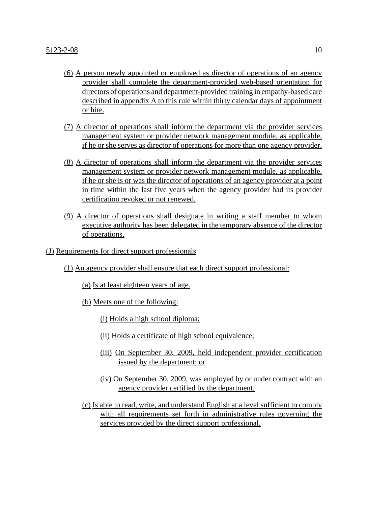- (6) A person newly appointed or employed as director of operations of an agency provider shall complete the department-provided web-based orientation for directors of operations and department-provided training in empathy-based care described in appendix A to this rule within thirty calendar days of appointment or hire.
- (7) A director of operations shall inform the department via the provider services management system or provider network management module, as applicable, if he or she serves as director of operations for more than one agency provider.
- (8) A director of operations shall inform the department via the provider services management system or provider network management module, as applicable, if he or she is or was the director of operations of an agency provider at a point in time within the last five years when the agency provider had its provider certification revoked or not renewed.
- (9) A director of operations shall designate in writing a staff member to whom executive authority has been delegated in the temporary absence of the director of operations.
- (J) Requirements for direct support professionals
	- (1) An agency provider shall ensure that each direct support professional:
		- (a) Is at least eighteen years of age.
		- (b) Meets one of the following:
			- (i) Holds a high school diploma;
			- (ii) Holds a certificate of high school equivalence;
			- (iii) On September 30, 2009, held independent provider certification issued by the department; or
			- (iv) On September 30, 2009, was employed by or under contract with an agency provider certified by the department.
		- (c) Is able to read, write, and understand English at a level sufficient to comply with all requirements set forth in administrative rules governing the services provided by the direct support professional.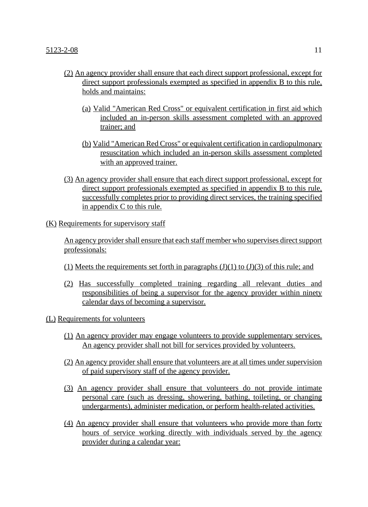- (2) An agency provider shall ensure that each direct support professional, except for direct support professionals exempted as specified in appendix B to this rule, holds and maintains:
	- (a) Valid "American Red Cross" or equivalent certification in first aid which included an in-person skills assessment completed with an approved trainer; and
	- (b) Valid "American Red Cross" or equivalent certification in cardiopulmonary resuscitation which included an in-person skills assessment completed with an approved trainer.
- (3) An agency provider shall ensure that each direct support professional, except for direct support professionals exempted as specified in appendix B to this rule, successfully completes prior to providing direct services, the training specified in appendix C to this rule.

## (K) Requirements for supervisory staff

An agency provider shall ensure that each staff member who supervises direct support professionals:

- (1) Meets the requirements set forth in paragraphs  $(J)(1)$  to  $(J)(3)$  of this rule; and
- (2) Has successfully completed training regarding all relevant duties and responsibilities of being a supervisor for the agency provider within ninety calendar days of becoming a supervisor.

## (L) Requirements for volunteers

- (1) An agency provider may engage volunteers to provide supplementary services. An agency provider shall not bill for services provided by volunteers.
- (2) An agency provider shall ensure that volunteers are at all times under supervision of paid supervisory staff of the agency provider.
- (3) An agency provider shall ensure that volunteers do not provide intimate personal care (such as dressing, showering, bathing, toileting, or changing undergarments), administer medication, or perform health-related activities.
- (4) An agency provider shall ensure that volunteers who provide more than forty hours of service working directly with individuals served by the agency provider during a calendar year: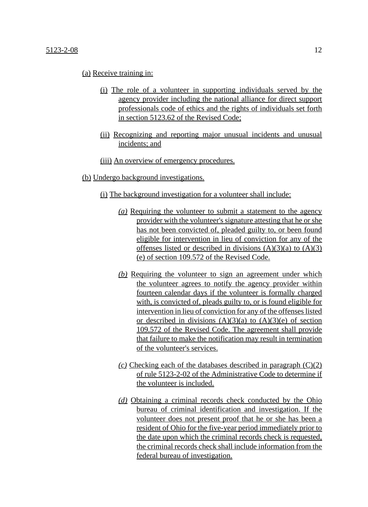#### $5123-2-08$  12

#### (a) Receive training in:

- (i) The role of a volunteer in supporting individuals served by the agency provider including the national alliance for direct support professionals code of ethics and the rights of individuals set forth in section 5123.62 of the Revised Code;
- (ii) Recognizing and reporting major unusual incidents and unusual incidents; and
- (iii) An overview of emergency procedures.
- (b) Undergo background investigations.
	- (i) The background investigation for a volunteer shall include:
		- *(a)* Requiring the volunteer to submit a statement to the agency provider with the volunteer's signature attesting that he or she has not been convicted of, pleaded guilty to, or been found eligible for intervention in lieu of conviction for any of the offenses listed or described in divisions  $(A)(3)(a)$  to  $(A)(3)$ (e) of section 109.572 of the Revised Code.
		- *(b)* Requiring the volunteer to sign an agreement under which the volunteer agrees to notify the agency provider within fourteen calendar days if the volunteer is formally charged with, is convicted of, pleads guilty to, or is found eligible for intervention in lieu of conviction for any of the offenses listed or described in divisions  $(A)(3)(a)$  to  $(A)(3)(e)$  of section 109.572 of the Revised Code. The agreement shall provide that failure to make the notification may result in termination of the volunteer's services.
		- *(c)* Checking each of the databases described in paragraph (C)(2) of rule 5123-2-02 of the Administrative Code to determine if the volunteer is included.
		- *(d)* Obtaining a criminal records check conducted by the Ohio bureau of criminal identification and investigation. If the volunteer does not present proof that he or she has been a resident of Ohio for the five-year period immediately prior to the date upon which the criminal records check is requested, the criminal records check shall include information from the federal bureau of investigation.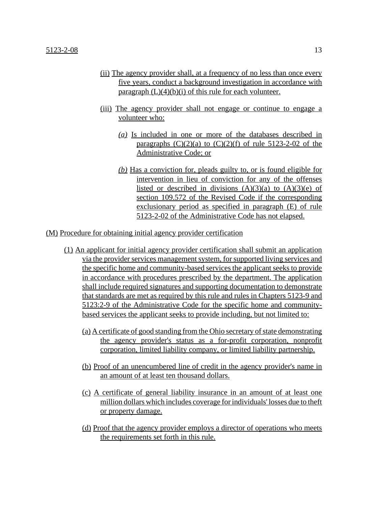- (ii) The agency provider shall, at a frequency of no less than once every five years, conduct a background investigation in accordance with paragraph  $(L)(4)(b)(i)$  of this rule for each volunteer.
- (iii) The agency provider shall not engage or continue to engage a volunteer who:
	- *(a)* Is included in one or more of the databases described in paragraphs  $(C)(2)(a)$  to  $(C)(2)(f)$  of rule 5123-2-02 of the Administrative Code; or
	- *(b)* Has a conviction for, pleads guilty to, or is found eligible for intervention in lieu of conviction for any of the offenses listed or described in divisions  $(A)(3)(a)$  to  $(A)(3)(e)$  of section 109.572 of the Revised Code if the corresponding exclusionary period as specified in paragraph (E) of rule 5123-2-02 of the Administrative Code has not elapsed.

(M) Procedure for obtaining initial agency provider certification

- (1) An applicant for initial agency provider certification shall submit an application via the provider services management system, for supported living services and the specific home and community-based services the applicant seeks to provide in accordance with procedures prescribed by the department. The application shall include required signatures and supporting documentation to demonstrate that standards are met as required by this rule and rules in Chapters 5123-9 and 5123:2-9 of the Administrative Code for the specific home and communitybased services the applicant seeks to provide including, but not limited to:
	- (a) A certificate of good standing from the Ohio secretary of state demonstrating the agency provider's status as a for-profit corporation, nonprofit corporation, limited liability company, or limited liability partnership.
	- (b) Proof of an unencumbered line of credit in the agency provider's name in an amount of at least ten thousand dollars.
	- (c) A certificate of general liability insurance in an amount of at least one million dollars which includes coverage for individuals' losses due to theft or property damage.
	- (d) Proof that the agency provider employs a director of operations who meets the requirements set forth in this rule.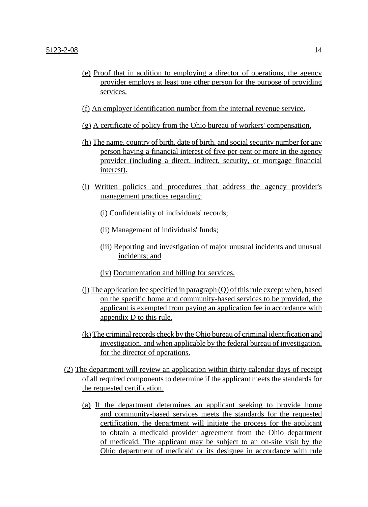- (e) Proof that in addition to employing a director of operations, the agency provider employs at least one other person for the purpose of providing services.
- (f) An employer identification number from the internal revenue service.
- (g) A certificate of policy from the Ohio bureau of workers' compensation.
- (h) The name, country of birth, date of birth, and social security number for any person having a financial interest of five per cent or more in the agency provider (including a direct, indirect, security, or mortgage financial interest).
- (i) Written policies and procedures that address the agency provider's management practices regarding:
	- (i) Confidentiality of individuals' records;
	- (ii) Management of individuals' funds;
	- (iii) Reporting and investigation of major unusual incidents and unusual incidents; and
	- (iv) Documentation and billing for services.
- $(i)$  The application fee specified in paragraph  $(Q)$  of this rule except when, based on the specific home and community-based services to be provided, the applicant is exempted from paying an application fee in accordance with appendix D to this rule.
- (k) The criminal records check by the Ohio bureau of criminal identification and investigation, and when applicable by the federal bureau of investigation, for the director of operations.
- (2) The department will review an application within thirty calendar days of receipt of all required components to determine if the applicant meets the standards for the requested certification.
	- (a) If the department determines an applicant seeking to provide home and community-based services meets the standards for the requested certification, the department will initiate the process for the applicant to obtain a medicaid provider agreement from the Ohio department of medicaid. The applicant may be subject to an on-site visit by the Ohio department of medicaid or its designee in accordance with rule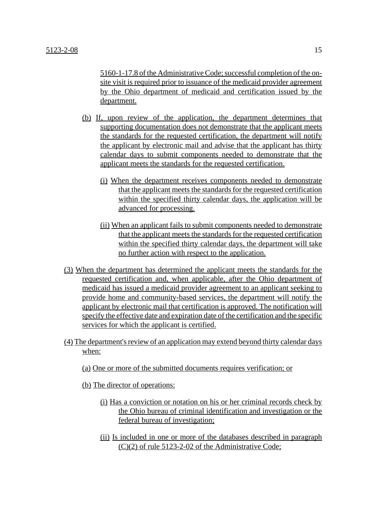5160-1-17.8 of the Administrative Code; successful completion of the onsite visit is required prior to issuance of the medicaid provider agreement by the Ohio department of medicaid and certification issued by the department.

- (b) If, upon review of the application, the department determines that supporting documentation does not demonstrate that the applicant meets the standards for the requested certification, the department will notify the applicant by electronic mail and advise that the applicant has thirty calendar days to submit components needed to demonstrate that the applicant meets the standards for the requested certification.
	- (i) When the department receives components needed to demonstrate that the applicant meets the standards for the requested certification within the specified thirty calendar days, the application will be advanced for processing.
	- (ii) When an applicant fails to submit components needed to demonstrate that the applicant meets the standards for the requested certification within the specified thirty calendar days, the department will take no further action with respect to the application.
- (3) When the department has determined the applicant meets the standards for the requested certification and, when applicable, after the Ohio department of medicaid has issued a medicaid provider agreement to an applicant seeking to provide home and community-based services, the department will notify the applicant by electronic mail that certification is approved. The notification will specify the effective date and expiration date of the certification and the specific services for which the applicant is certified.
- (4) The department's review of an application may extend beyond thirty calendar days when:
	- (a) One or more of the submitted documents requires verification; or
	- (b) The director of operations:
		- (i) Has a conviction or notation on his or her criminal records check by the Ohio bureau of criminal identification and investigation or the federal bureau of investigation;
		- (ii) Is included in one or more of the databases described in paragraph (C)(2) of rule 5123-2-02 of the Administrative Code;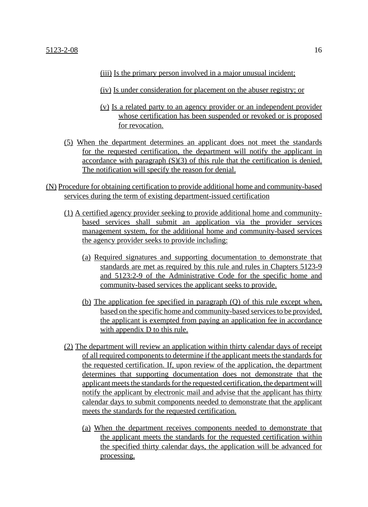- (iii) Is the primary person involved in a major unusual incident;
- (iv) Is under consideration for placement on the abuser registry; or
- (v) Is a related party to an agency provider or an independent provider whose certification has been suspended or revoked or is proposed for revocation.
- (5) When the department determines an applicant does not meet the standards for the requested certification, the department will notify the applicant in accordance with paragraph (S)(3) of this rule that the certification is denied. The notification will specify the reason for denial.
- (N) Procedure for obtaining certification to provide additional home and community-based services during the term of existing department-issued certification
	- (1) A certified agency provider seeking to provide additional home and communitybased services shall submit an application via the provider services management system, for the additional home and community-based services the agency provider seeks to provide including:
		- (a) Required signatures and supporting documentation to demonstrate that standards are met as required by this rule and rules in Chapters 5123-9 and 5123:2-9 of the Administrative Code for the specific home and community-based services the applicant seeks to provide.
		- (b) The application fee specified in paragraph (Q) of this rule except when, based on the specific home and community-based services to be provided, the applicant is exempted from paying an application fee in accordance with appendix D to this rule.
	- (2) The department will review an application within thirty calendar days of receipt of all required components to determine if the applicant meets the standards for the requested certification. If, upon review of the application, the department determines that supporting documentation does not demonstrate that the applicant meets the standards for the requested certification, the department will notify the applicant by electronic mail and advise that the applicant has thirty calendar days to submit components needed to demonstrate that the applicant meets the standards for the requested certification.
		- (a) When the department receives components needed to demonstrate that the applicant meets the standards for the requested certification within the specified thirty calendar days, the application will be advanced for processing.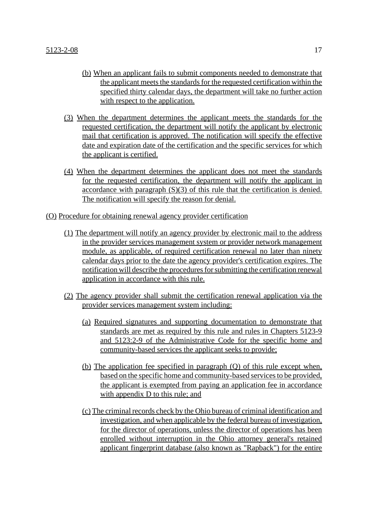- (b) When an applicant fails to submit components needed to demonstrate that the applicant meets the standards for the requested certification within the specified thirty calendar days, the department will take no further action with respect to the application.
- (3) When the department determines the applicant meets the standards for the requested certification, the department will notify the applicant by electronic mail that certification is approved. The notification will specify the effective date and expiration date of the certification and the specific services for which the applicant is certified.
- (4) When the department determines the applicant does not meet the standards for the requested certification, the department will notify the applicant in accordance with paragraph (S)(3) of this rule that the certification is denied. The notification will specify the reason for denial.
- (O) Procedure for obtaining renewal agency provider certification
	- (1) The department will notify an agency provider by electronic mail to the address in the provider services management system or provider network management module, as applicable, of required certification renewal no later than ninety calendar days prior to the date the agency provider's certification expires. The notification will describe the procedures for submitting the certification renewal application in accordance with this rule.
	- (2) The agency provider shall submit the certification renewal application via the provider services management system including:
		- (a) Required signatures and supporting documentation to demonstrate that standards are met as required by this rule and rules in Chapters 5123-9 and 5123:2-9 of the Administrative Code for the specific home and community-based services the applicant seeks to provide;
		- (b) The application fee specified in paragraph (Q) of this rule except when, based on the specific home and community-based services to be provided, the applicant is exempted from paying an application fee in accordance with appendix D to this rule; and
		- (c) The criminal records check by the Ohio bureau of criminal identification and investigation, and when applicable by the federal bureau of investigation, for the director of operations, unless the director of operations has been enrolled without interruption in the Ohio attorney general's retained applicant fingerprint database (also known as "Rapback") for the entire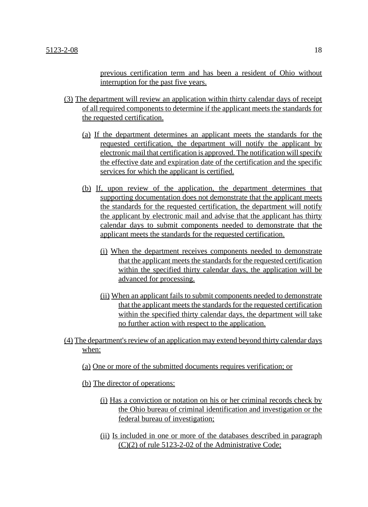previous certification term and has been a resident of Ohio without interruption for the past five years.

- (3) The department will review an application within thirty calendar days of receipt of all required components to determine if the applicant meets the standards for the requested certification.
	- (a) If the department determines an applicant meets the standards for the requested certification, the department will notify the applicant by electronic mail that certification is approved. The notification will specify the effective date and expiration date of the certification and the specific services for which the applicant is certified.
	- (b) If, upon review of the application, the department determines that supporting documentation does not demonstrate that the applicant meets the standards for the requested certification, the department will notify the applicant by electronic mail and advise that the applicant has thirty calendar days to submit components needed to demonstrate that the applicant meets the standards for the requested certification.
		- (i) When the department receives components needed to demonstrate that the applicant meets the standards for the requested certification within the specified thirty calendar days, the application will be advanced for processing.
		- (ii) When an applicant fails to submit components needed to demonstrate that the applicant meets the standards for the requested certification within the specified thirty calendar days, the department will take no further action with respect to the application.
- (4) The department's review of an application may extend beyond thirty calendar days when:
	- (a) One or more of the submitted documents requires verification; or
	- (b) The director of operations:
		- (i) Has a conviction or notation on his or her criminal records check by the Ohio bureau of criminal identification and investigation or the federal bureau of investigation;
		- (ii) Is included in one or more of the databases described in paragraph (C)(2) of rule 5123-2-02 of the Administrative Code;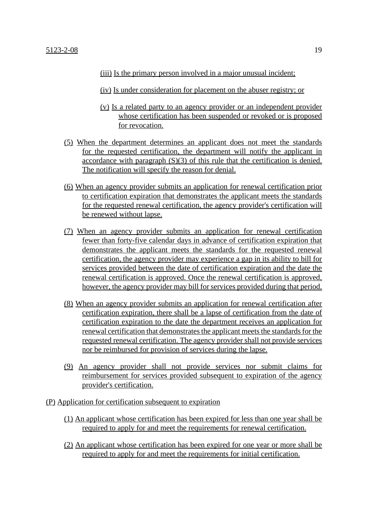(iii) Is the primary person involved in a major unusual incident;

(iv) Is under consideration for placement on the abuser registry; or

- (v) Is a related party to an agency provider or an independent provider whose certification has been suspended or revoked or is proposed for revocation.
- (5) When the department determines an applicant does not meet the standards for the requested certification, the department will notify the applicant in accordance with paragraph (S)(3) of this rule that the certification is denied. The notification will specify the reason for denial.
- (6) When an agency provider submits an application for renewal certification prior to certification expiration that demonstrates the applicant meets the standards for the requested renewal certification, the agency provider's certification will be renewed without lapse.
- (7) When an agency provider submits an application for renewal certification fewer than forty-five calendar days in advance of certification expiration that demonstrates the applicant meets the standards for the requested renewal certification, the agency provider may experience a gap in its ability to bill for services provided between the date of certification expiration and the date the renewal certification is approved. Once the renewal certification is approved, however, the agency provider may bill for services provided during that period.
- (8) When an agency provider submits an application for renewal certification after certification expiration, there shall be a lapse of certification from the date of certification expiration to the date the department receives an application for renewal certification that demonstrates the applicant meets the standards for the requested renewal certification. The agency provider shall not provide services nor be reimbursed for provision of services during the lapse.
- (9) An agency provider shall not provide services nor submit claims for reimbursement for services provided subsequent to expiration of the agency provider's certification.
- (P) Application for certification subsequent to expiration
	- (1) An applicant whose certification has been expired for less than one year shall be required to apply for and meet the requirements for renewal certification.
	- (2) An applicant whose certification has been expired for one year or more shall be required to apply for and meet the requirements for initial certification.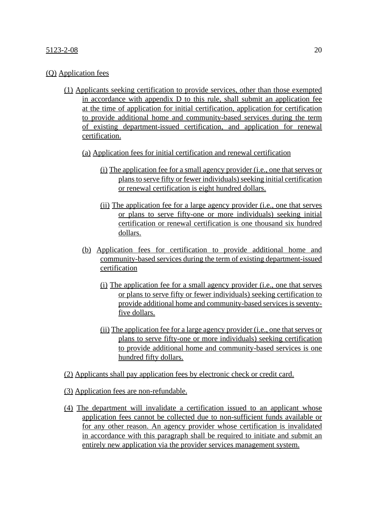## (Q) Application fees

- (1) Applicants seeking certification to provide services, other than those exempted in accordance with appendix D to this rule, shall submit an application fee at the time of application for initial certification, application for certification to provide additional home and community-based services during the term of existing department-issued certification, and application for renewal certification.
	- (a) Application fees for initial certification and renewal certification
		- (i) The application fee for a small agency provider (i.e., one that serves or plans to serve fifty or fewer individuals) seeking initial certification or renewal certification is eight hundred dollars.
		- (ii) The application fee for a large agency provider (i.e., one that serves or plans to serve fifty-one or more individuals) seeking initial certification or renewal certification is one thousand six hundred dollars.
	- (b) Application fees for certification to provide additional home and community-based services during the term of existing department-issued certification
		- (i) The application fee for a small agency provider (i.e., one that serves or plans to serve fifty or fewer individuals) seeking certification to provide additional home and community-based services is seventyfive dollars.
		- (ii) The application fee for a large agency provider (i.e., one that serves or plans to serve fifty-one or more individuals) seeking certification to provide additional home and community-based services is one hundred fifty dollars.
- (2) Applicants shall pay application fees by electronic check or credit card.
- (3) Application fees are non-refundable.
- (4) The department will invalidate a certification issued to an applicant whose application fees cannot be collected due to non-sufficient funds available or for any other reason. An agency provider whose certification is invalidated in accordance with this paragraph shall be required to initiate and submit an entirely new application via the provider services management system.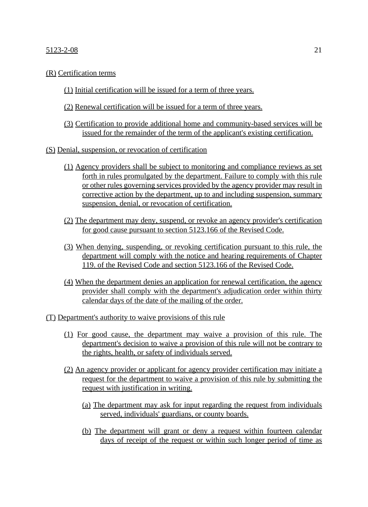## $5123-2-08$  21

## (R) Certification terms

- (1) Initial certification will be issued for a term of three years.
- (2) Renewal certification will be issued for a term of three years.
- (3) Certification to provide additional home and community-based services will be issued for the remainder of the term of the applicant's existing certification.
- (S) Denial, suspension, or revocation of certification
	- (1) Agency providers shall be subject to monitoring and compliance reviews as set forth in rules promulgated by the department. Failure to comply with this rule or other rules governing services provided by the agency provider may result in corrective action by the department, up to and including suspension, summary suspension, denial, or revocation of certification.
	- (2) The department may deny, suspend, or revoke an agency provider's certification for good cause pursuant to section 5123.166 of the Revised Code.
	- (3) When denying, suspending, or revoking certification pursuant to this rule, the department will comply with the notice and hearing requirements of Chapter 119. of the Revised Code and section 5123.166 of the Revised Code.
	- (4) When the department denies an application for renewal certification, the agency provider shall comply with the department's adjudication order within thirty calendar days of the date of the mailing of the order.
- (T) Department's authority to waive provisions of this rule
	- (1) For good cause, the department may waive a provision of this rule. The department's decision to waive a provision of this rule will not be contrary to the rights, health, or safety of individuals served.
	- (2) An agency provider or applicant for agency provider certification may initiate a request for the department to waive a provision of this rule by submitting the request with justification in writing.
		- (a) The department may ask for input regarding the request from individuals served, individuals' guardians, or county boards.
		- (b) The department will grant or deny a request within fourteen calendar days of receipt of the request or within such longer period of time as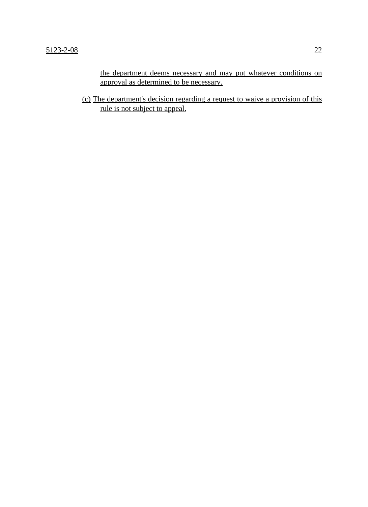the department deems necessary and may put whatever conditions on approval as determined to be necessary.

(c) The department's decision regarding a request to waive a provision of this rule is not subject to appeal.